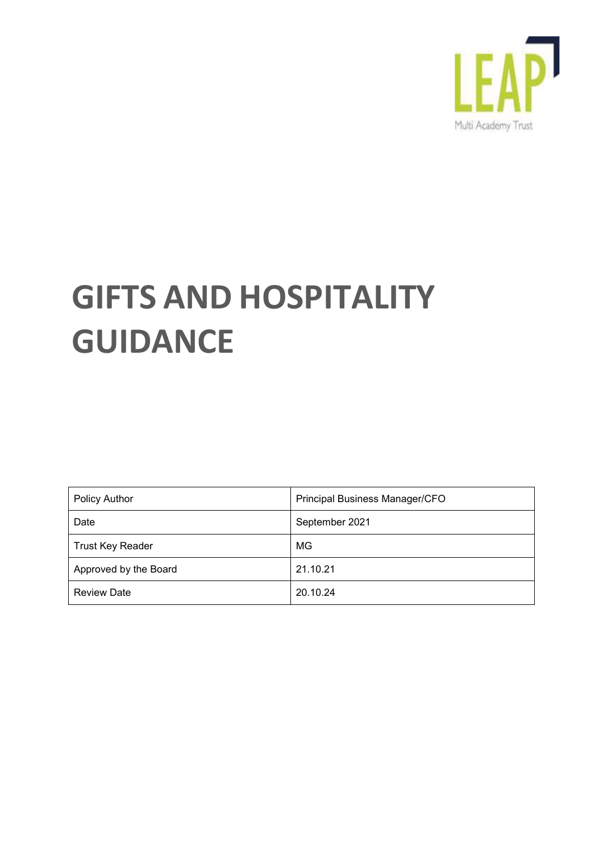

# **GIFTS AND HOSPITALITY GUIDANCE**

| <b>Policy Author</b>    | Principal Business Manager/CFO |
|-------------------------|--------------------------------|
| Date                    | September 2021                 |
| <b>Trust Key Reader</b> | MG                             |
| Approved by the Board   | 21.10.21                       |
| <b>Review Date</b>      | 20.10.24                       |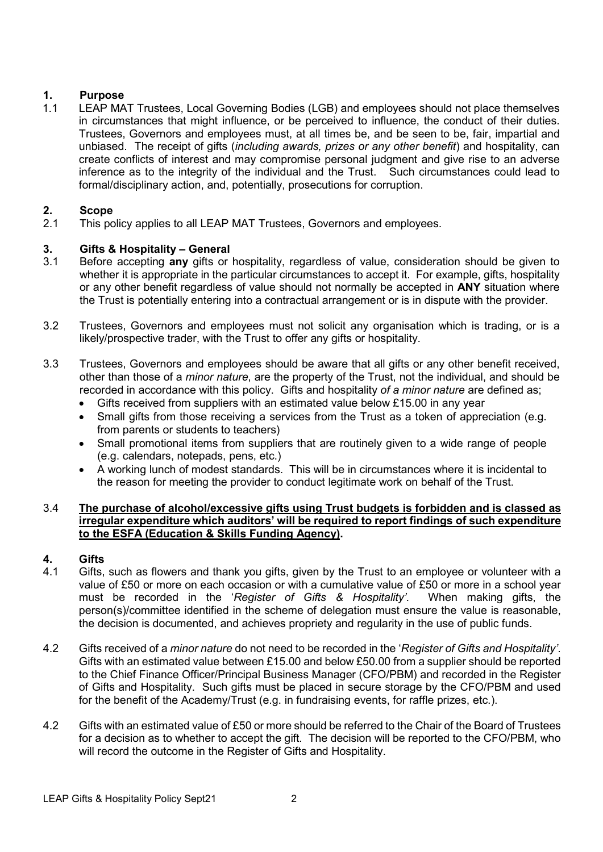#### **1. Purpose**

1.1 LEAP MAT Trustees, Local Governing Bodies (LGB) and employees should not place themselves in circumstances that might influence, or be perceived to influence, the conduct of their duties. Trustees, Governors and employees must, at all times be, and be seen to be, fair, impartial and unbiased. The receipt of gifts (*including awards, prizes or any other benefit*) and hospitality, can create conflicts of interest and may compromise personal judgment and give rise to an adverse inference as to the integrity of the individual and the Trust. Such circumstances could lead to formal/disciplinary action, and, potentially, prosecutions for corruption.

# **2. Scope**

This policy applies to all LEAP MAT Trustees, Governors and employees.

# **3. Gifts & Hospitality – General**

- 3.1 Before accepting **any** gifts or hospitality, regardless of value, consideration should be given to whether it is appropriate in the particular circumstances to accept it. For example, gifts, hospitality or any other benefit regardless of value should not normally be accepted in **ANY** situation where the Trust is potentially entering into a contractual arrangement or is in dispute with the provider.
- 3.2 Trustees, Governors and employees must not solicit any organisation which is trading, or is a likely/prospective trader, with the Trust to offer any gifts or hospitality.
- 3.3 Trustees, Governors and employees should be aware that all gifts or any other benefit received, other than those of a *minor nature*, are the property of the Trust, not the individual, and should be recorded in accordance with this policy. Gifts and hospitality *of a minor nature* are defined as;
	- Gifts received from suppliers with an estimated value below £15.00 in any year
	- Small gifts from those receiving a services from the Trust as a token of appreciation (e.g. from parents or students to teachers)
	- Small promotional items from suppliers that are routinely given to a wide range of people (e.g. calendars, notepads, pens, etc.)
	- A working lunch of modest standards. This will be in circumstances where it is incidental to the reason for meeting the provider to conduct legitimate work on behalf of the Trust.

#### 3.4 **The purchase of alcohol/excessive gifts using Trust budgets is forbidden and is classed as irregular expenditure which auditors' will be required to report findings of such expenditure to the ESFA (Education & Skills Funding Agency).**

### **4. Gifts**

- Gifts, such as flowers and thank you gifts, given by the Trust to an employee or volunteer with a value of £50 or more on each occasion or with a cumulative value of £50 or more in a school year must be recorded in the '*Register of Gifts & Hospitality'*. When making gifts, the person(s)/committee identified in the scheme of delegation must ensure the value is reasonable, the decision is documented, and achieves propriety and regularity in the use of public funds.
- 4.2 Gifts received of a *minor nature* do not need to be recorded in the '*Register of Gifts and Hospitality'*. Gifts with an estimated value between £15.00 and below £50.00 from a supplier should be reported to the Chief Finance Officer/Principal Business Manager (CFO/PBM) and recorded in the Register of Gifts and Hospitality. Such gifts must be placed in secure storage by the CFO/PBM and used for the benefit of the Academy/Trust (e.g. in fundraising events, for raffle prizes, etc.).
- 4.2 Gifts with an estimated value of £50 or more should be referred to the Chair of the Board of Trustees for a decision as to whether to accept the gift. The decision will be reported to the CFO/PBM, who will record the outcome in the Register of Gifts and Hospitality.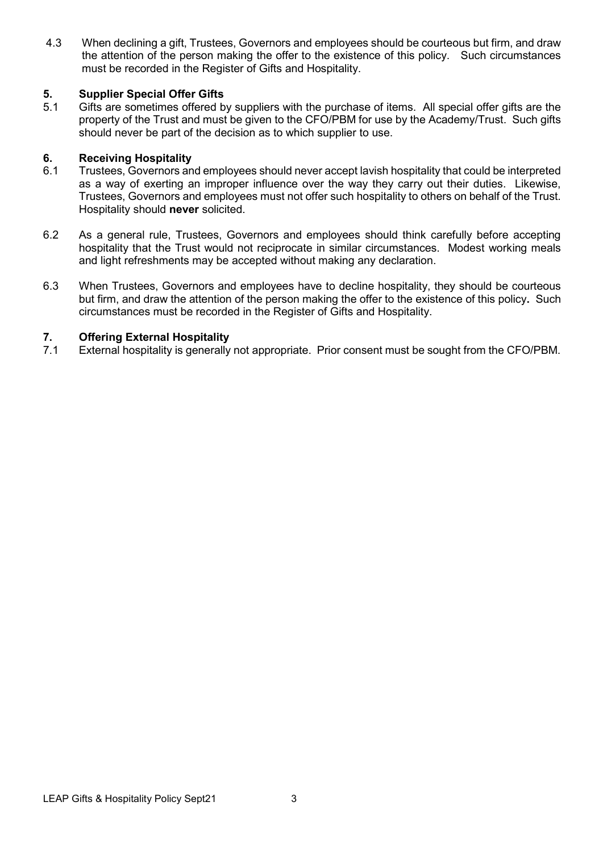4.3 When declining a gift, Trustees, Governors and employees should be courteous but firm, and draw the attention of the person making the offer to the existence of this policy. Such circumstances must be recorded in the Register of Gifts and Hospitality.

# **5. Supplier Special Offer Gifts**

Gifts are sometimes offered by suppliers with the purchase of items. All special offer gifts are the property of the Trust and must be given to the CFO/PBM for use by the Academy/Trust. Such gifts should never be part of the decision as to which supplier to use.

# **6. Receiving Hospitality**

- Trustees, Governors and employees should never accept lavish hospitality that could be interpreted as a way of exerting an improper influence over the way they carry out their duties. Likewise, Trustees, Governors and employees must not offer such hospitality to others on behalf of the Trust. Hospitality should **never** solicited.
- 6.2 As a general rule, Trustees, Governors and employees should think carefully before accepting hospitality that the Trust would not reciprocate in similar circumstances. Modest working meals and light refreshments may be accepted without making any declaration.
- 6.3 When Trustees, Governors and employees have to decline hospitality, they should be courteous but firm, and draw the attention of the person making the offer to the existence of this policy**.** Such circumstances must be recorded in the Register of Gifts and Hospitality.

### **7. Offering External Hospitality**<br>**7.1** External hospitality is generally

External hospitality is generally not appropriate. Prior consent must be sought from the CFO/PBM.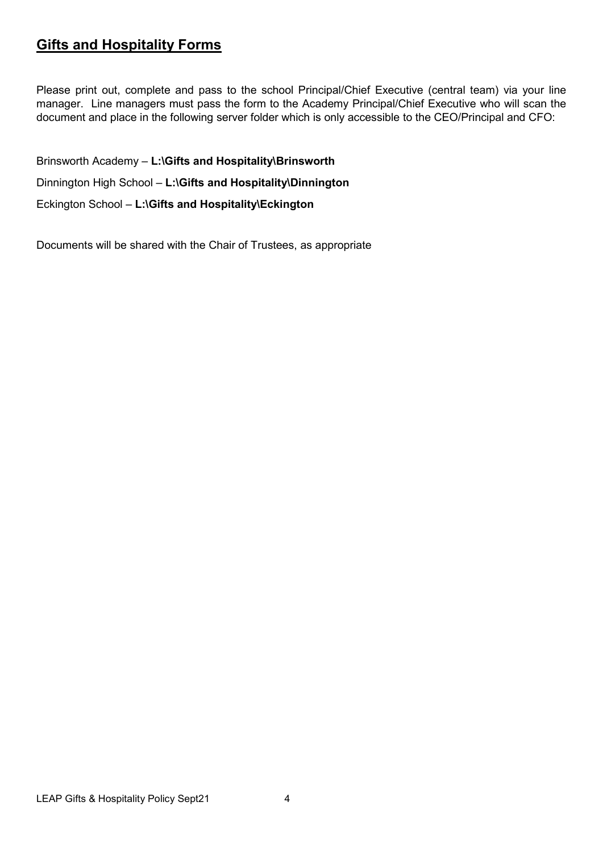#### **Gifts and Hospitality Forms**

Please print out, complete and pass to the school Principal/Chief Executive (central team) via your line manager. Line managers must pass the form to the Academy Principal/Chief Executive who will scan the document and place in the following server folder which is only accessible to the CEO/Principal and CFO:

Brinsworth Academy – **L:\Gifts and Hospitality\Brinsworth** Dinnington High School – **L:\Gifts and Hospitality\Dinnington** Eckington School – **L:\Gifts and Hospitality\Eckington**

Documents will be shared with the Chair of Trustees, as appropriate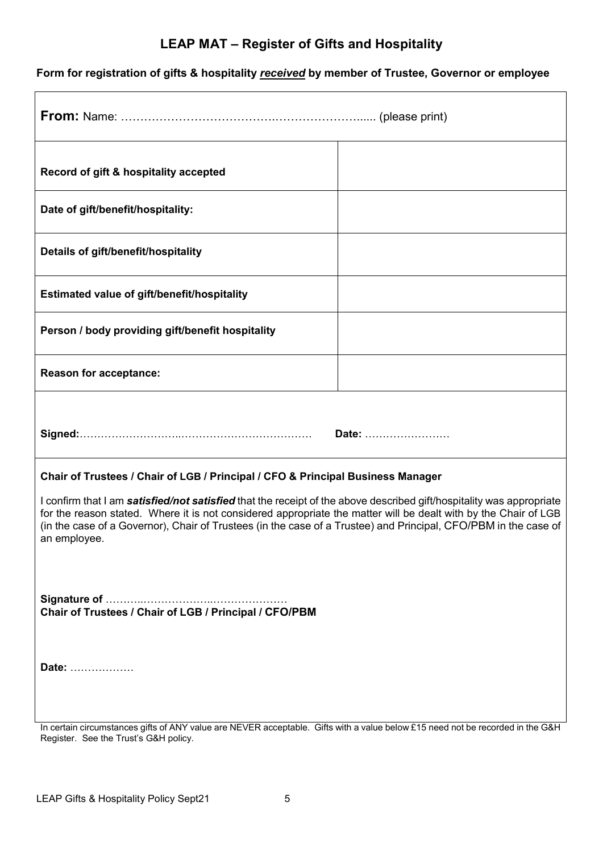#### **Form for registration of gifts & hospitality** *received* **by member of Trustee, Governor or employee**

| Record of gift & hospitality accepted                                                                                                                                                                                                                                                                                                                                      |       |  |
|----------------------------------------------------------------------------------------------------------------------------------------------------------------------------------------------------------------------------------------------------------------------------------------------------------------------------------------------------------------------------|-------|--|
| Date of gift/benefit/hospitality:                                                                                                                                                                                                                                                                                                                                          |       |  |
| Details of gift/benefit/hospitality                                                                                                                                                                                                                                                                                                                                        |       |  |
| Estimated value of gift/benefit/hospitality                                                                                                                                                                                                                                                                                                                                |       |  |
| Person / body providing gift/benefit hospitality                                                                                                                                                                                                                                                                                                                           |       |  |
| <b>Reason for acceptance:</b>                                                                                                                                                                                                                                                                                                                                              |       |  |
|                                                                                                                                                                                                                                                                                                                                                                            |       |  |
|                                                                                                                                                                                                                                                                                                                                                                            | Date: |  |
| Chair of Trustees / Chair of LGB / Principal / CFO & Principal Business Manager                                                                                                                                                                                                                                                                                            |       |  |
| I confirm that I am satisfied/not satisfied that the receipt of the above described gift/hospitality was appropriate<br>for the reason stated. Where it is not considered appropriate the matter will be dealt with by the Chair of LGB<br>(in the case of a Governor), Chair of Trustees (in the case of a Trustee) and Principal, CFO/PBM in the case of<br>an employee. |       |  |
|                                                                                                                                                                                                                                                                                                                                                                            |       |  |
| Date:                                                                                                                                                                                                                                                                                                                                                                      |       |  |

In certain circumstances gifts of ANY value are NEVER acceptable. Gifts with a value below £15 need not be recorded in the G&H Register. See the Trust's G&H policy.